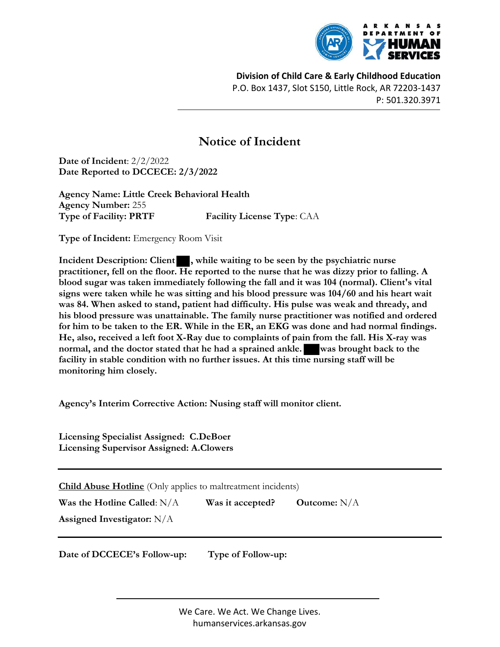

Division of Child Care & Early Childhood Education P.O. Box 1437, Slot S150, Little Rock, AR 72203-1437 P: 501.320.3971

## Notice of Incident

Date of Incident: 2/2/2022 Date Reported to DCCECE: 2/3/2022

Agency Name: Little Creek Behavioral Health Agency Number: 255 Type of Facility: PRTF Facility License Type: CAA

Type of Incident: Emergency Room Visit

Incident Description: Client , while waiting to be seen by the psychiatric nurse practitioner, fell on the floor. He reported to the nurse that he was dizzy prior to falling. A blood sugar was taken immediately following the fall and it was 104 (normal). Client's vital signs were taken while he was sitting and his blood pressure was 104/60 and his heart wait was 84. When asked to stand, patient had difficulty. His pulse was weak and thready, and his blood pressure was unattainable. The family nurse practitioner was notified and ordered for him to be taken to the ER. While in the ER, an EKG was done and had normal findings. He, also, received a left foot X-Ray due to complaints of pain from the fall. His X-ray was normal, and the doctor stated that he had a sprained ankle. was brought back to the facility in stable condition with no further issues. At this time nursing staff will be monitoring him closely.

Agency's Interim Corrective Action: Nusing staff will monitor client.

Licensing Specialist Assigned: C.DeBoer Licensing Supervisor Assigned: A.Clowers

**Child Abuse Hotline** (Only applies to maltreatment incidents)

Was the Hotline Called:  $N/A$  Was it accepted? Outcome:  $N/A$ 

Assigned Investigator: N/A

Date of DCCECE's Follow-up: Type of Follow-up:

We Care. We Act. We Change Lives. humanservices.arkansas.gov